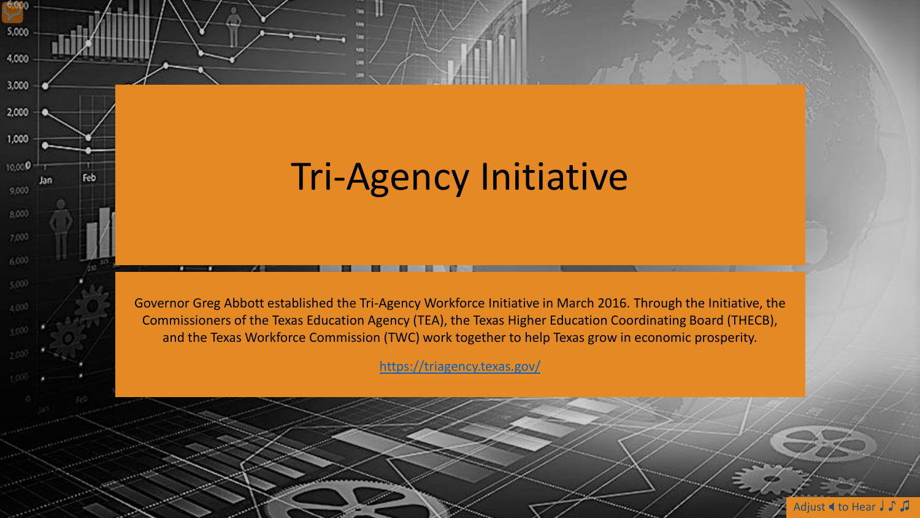## Tri-Agency Initiative

6,000

5,000

4,000

3,000

2,000

1,000

10,000

9,000

8.000

 $7,000$ 

6,000

 $4000$ 

 $131$ 

Feb.

Governor Greg Abbott established the Tri-Agency Workforce Initiative in March 2016. Through the Initiative, the Commissioners of the Texas Education Agency (TEA), the Texas Higher Education Coordinating Board (THECB), and the Texas Workforce Commission (TWC) work together to help Texas grow in economic prosperity.

<https://triagency.texas.gov/>

Adjust **4** to Hear J ♪ J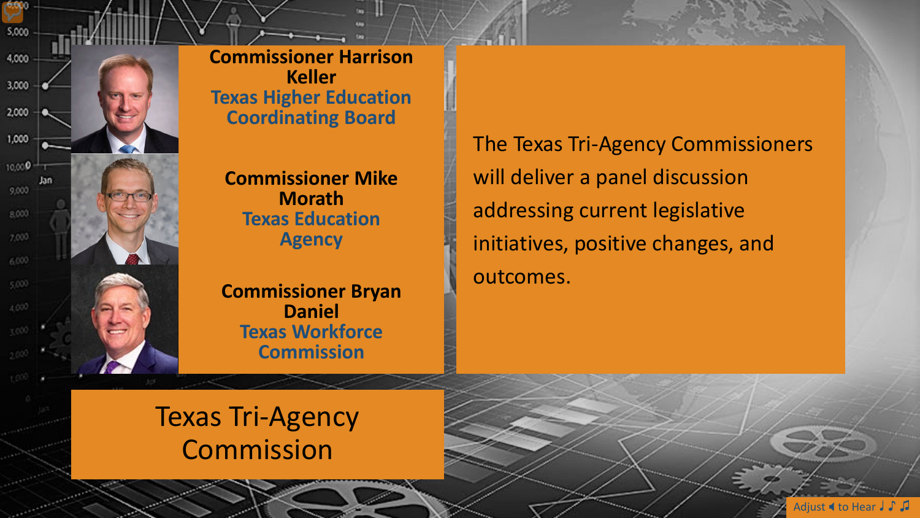

6,000

**Commissioner Harrison Keller Texas Higher Education Coordinating Board**

**Commissioner Mike Morath Texas Education Agency**

**Commissioner Bryan Daniel Texas Workforce Commission**

The Texas Tri-Agency Commissioners will deliver a panel discussion addressing current legislative initiatives, positive changes, and outcomes.

Texas Tri-Agency Commission

Adjust **4** to Hear J J J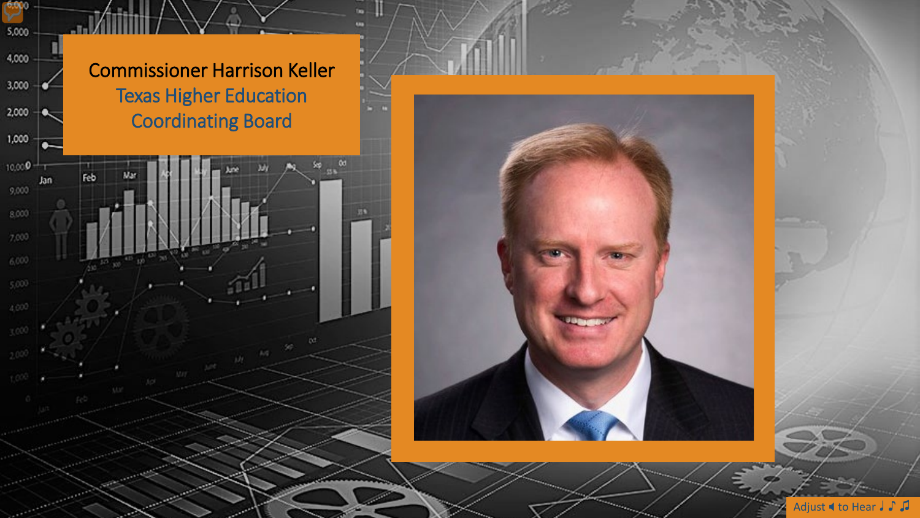

Мŗ

 $\mathcal{M}^{\mathcal{U}}$ 

 $100$ 

 $\infty$  as

 $58$ 

6,000

5,000

4,000

3,000

2,000

1,000

 $10,000$ <sup>0</sup>

 $9,000$ 

8,000

 $7,000$ 

 $6,000$ 

n

Jan

Feb

**May** 



Adjust **I** to Hear J J J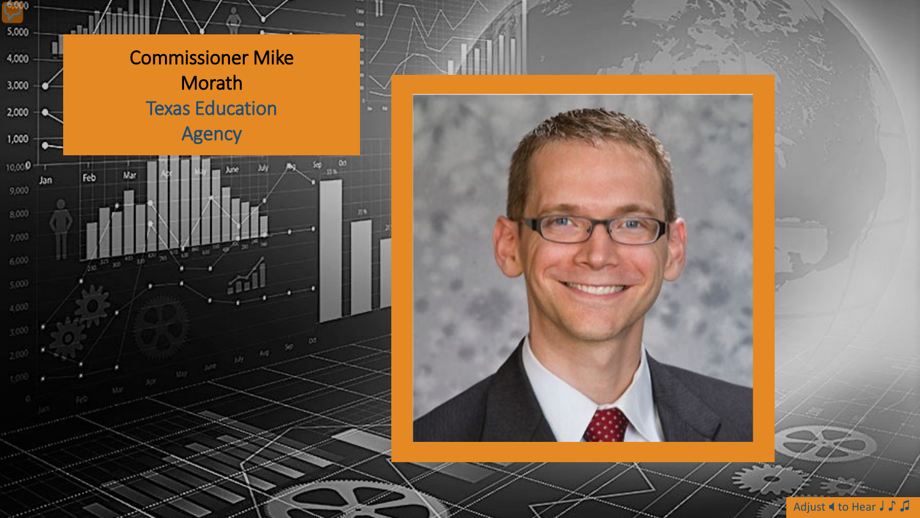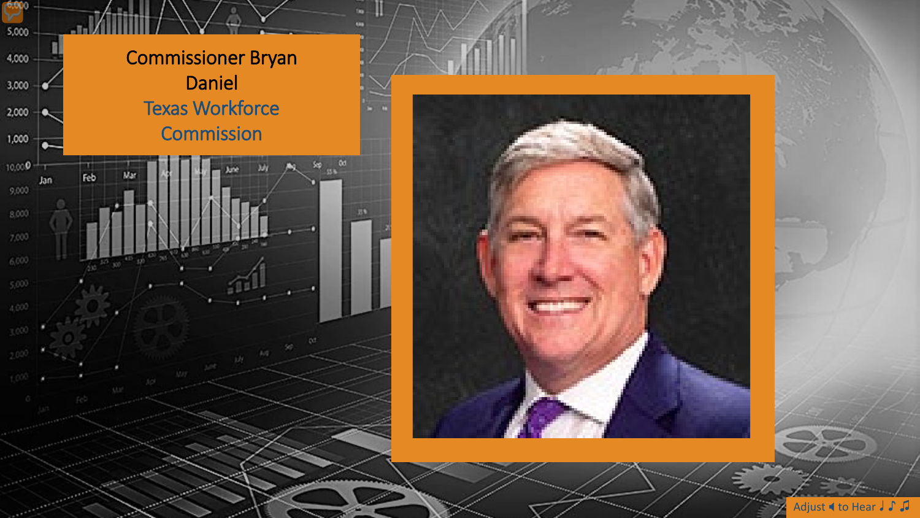



Adjust **I** to Hear J J J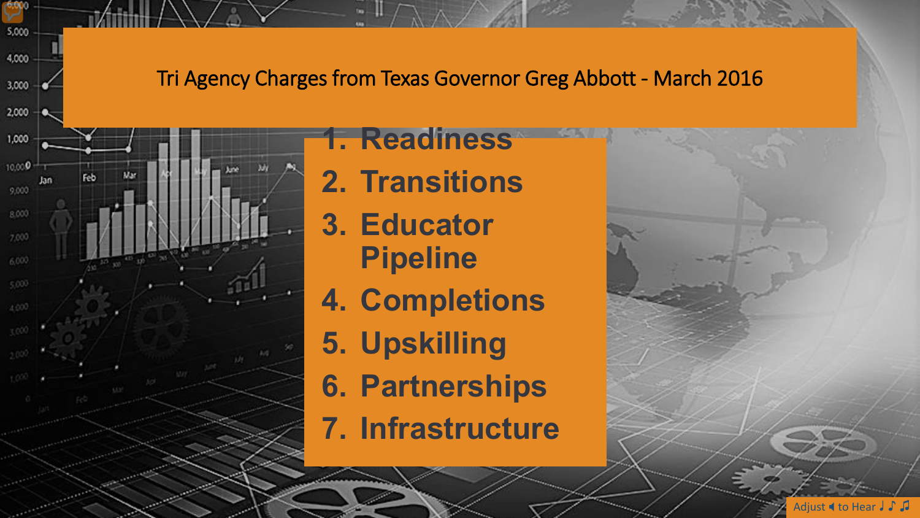Tri Agency Charges from Texas Governor Greg Abbott - March 2016



6,000

5,000

4,000

3,000

### **1. Readiness**

- **2. Transitions**
- **3. Educator Pipeline**
- **4. Completions**
- **5. Upskilling**
- **6. Partnerships**
- **7. Infrastructure**



Adjust **4** to Hear J J J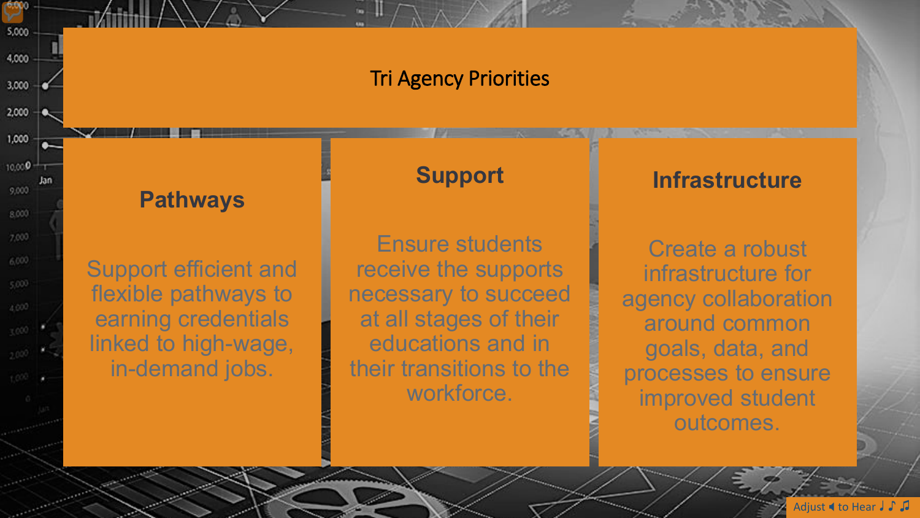#### **Tri Agency Priorities**

**Pathways** 

6,000

5,000

4,000

3,000

2,000

1,000

10,000

9,000

8.000

 $7,000$ 

6,000

 $5,000$ 

4,000

-Jan

**Support efficient and** flexible pathways to earning credentials linked to high-wage, in-demand jobs.

#### **Support**

**Ensure students** receive the supports necessary to succeed at all stages of their educations and in their transitions to the workforce.

#### **Infrastructure**

Create a robust infrastructure for agency collaboration around common goals, data, and processes to ensure improved student outcomes.

Adjust  $\blacktriangleleft$  to Hear  $\blacktriangleright$   $\blacktriangleright$   $\blacktriangleright$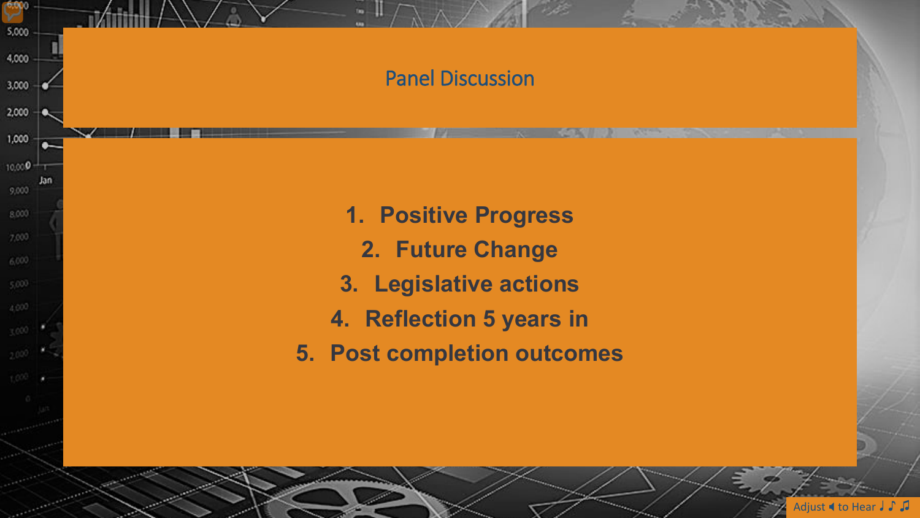#### Panel Discussion

6,000

5,000

4,000

3,000

2,000

1,000

10,000

9,000

8.000

 $7,000$ 

6,000

 $(4,000)$ 

Jan

- **1. Positive Progress**
	- **2. Future Change**
- **3. Legislative actions**
- **4. Reflection 5 years in**
- **5. Post completion outcomes**